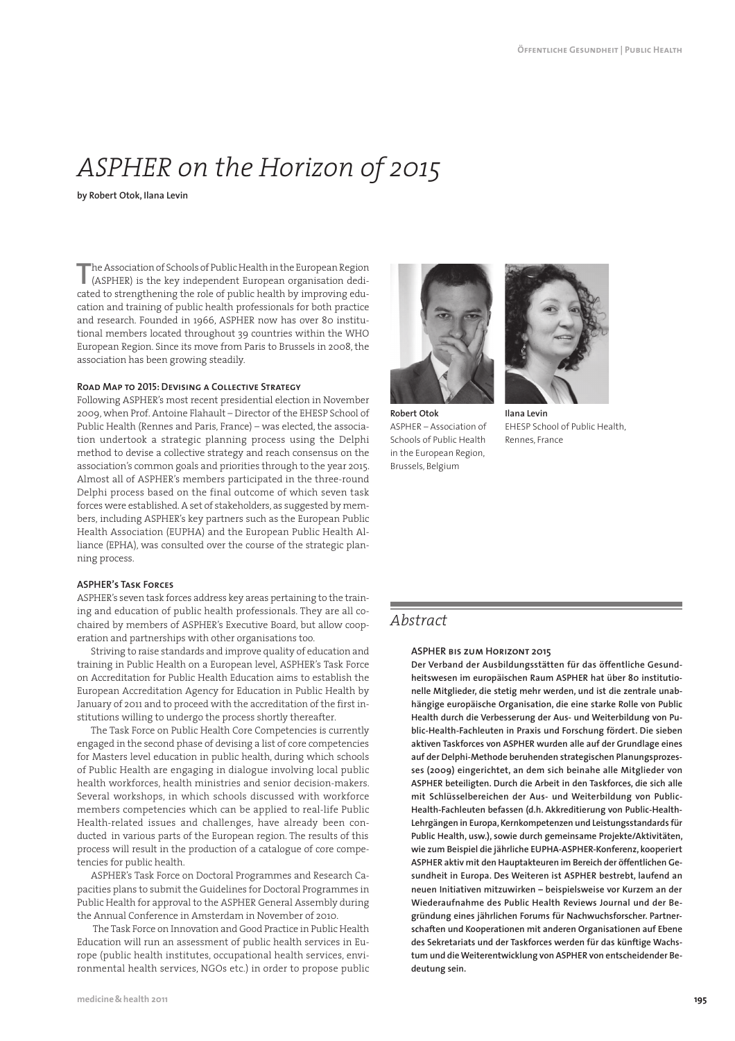# *ASPHER on the Horizon of 2015*

**by Robert Otok, Ilana Levin**

The Association of Schools of Public Health in the European Region (ASPHER) is the key independent European organisation dedihe Association of Schools of Public Health in the European Region cated to strengthening the role of public health by improving education and training of public health professionals for both practice and research. Founded in 1966, ASPHER now has over 80 institutional members located throughout 39 countries within the WHO European Region. Since its move from Paris to Brussels in 2008, the association has been growing steadily.

## **Road Map to 2015: Devising a Collective Strategy**

Following ASPHER's most recent presidential election in November 2009, when Prof. Antoine Flahault – Director of the EHESP School of Public Health (Rennes and Paris, France) – was elected, the association undertook a strategic planning process using the Delphi method to devise a collective strategy and reach consensus on the association's common goals and priorities through to the year 2015. Almost all of ASPHER's members participated in the three-round Delphi process based on the final outcome of which seven task forces were established. A set of stakeholders, as suggested by members, including ASPHER's key partners such as the European Public Health Association (EUPHA) and the European Public Health Alliance (EPHA), was consulted over the course of the strategic planning process.

#### **ASPHER's Task Forces**

ASPHER's seven task forces address key areas pertaining to the training and education of public health professionals. They are all cochaired by members of ASPHER's Executive Board, but allow cooperation and partnerships with other organisations too.

Striving to raise standards and improve quality of education and training in Public Health on a European level, ASPHER's Task Force on Accreditation for Public Health Education aims to establish the European Accreditation Agency for Education in Public Health by January of 2011 and to proceed with the accreditation of the first institutions willing to undergo the process shortly thereafter.

The Task Force on Public Health Core Competencies is currently engaged in the second phase of devising a list of core competencies for Masters level education in public health, during which schools of Public Health are engaging in dialogue involving local public health workforces, health ministries and senior decision-makers. Several workshops, in which schools discussed with workforce members competencies which can be applied to real-life Public Health-related issues and challenges, have already been conducted in various parts of the European region. The results of this process will result in the production of a catalogue of core competencies for public health.

ASPHER's Task Force on Doctoral Programmes and Research Capacities plans to submit the Guidelines for Doctoral Programmes in Public Health for approval to the ASPHER General Assembly during the Annual Conference in Amsterdam in November of 2010.

The Task Force on Innovation and Good Practice in Public Health Education will run an assessment of public health services in Europe (public health institutes, occupational health services, environmental health services, NGOs etc.) in order to propose public



**Robert Otok** ASPHER – Association of Schools of Public Health in the European Region, Brussels, Belgium



**Ilana Levin** EHESP School of Public Health, Rennes, France

# *Abstract*

#### **ASPHER bis zum Horizont 2015**

**Der Verband der Ausbildungsstätten für das öffentliche Gesundheitswesen im europäischen Raum ASPHER hat über 80 institutionelle Mitglieder, die stetig mehr werden, und ist die zentrale unabhängige europäische Organisation, die eine starke Rolle von Public Health durch die Verbesserung der Aus- und Weiterbildung von Public-Health-Fachleuten in Praxis und Forschung fördert. Die sieben aktiven Taskforces von ASPHER wurden alle auf der Grundlage eines auf der Delphi-Methode beruhenden strategischen Planungsprozesses (2009) eingerichtet, an dem sich beinahe alle Mitglieder von ASPHER beteiligten. Durch die Arbeit in den Taskforces, die sich alle mit Schlüsselbereichen der Aus- und Weiterbildung von Public- Health-Fachleuten befassen (d.h. Akkreditierung von Public-Health-Lehrgängen in Europa, Kernkompetenzen und Leistungsstandards für Public Health, usw.), sowie durch gemeinsame Projekte/Aktivitäten, wie zum Beispiel die jährliche EUPHA-ASPHER-Konferenz, kooperiert ASPHER aktiv mit den Hauptakteuren im Bereich der öffentlichen Gesundheit in Europa. Des Weiteren ist ASPHER bestrebt, laufend an neuen Initiativen mitzuwirken – beispielsweise vor Kurzem an der Wiederaufnahme des Public Health Reviews Journal und der Begründung eines jährlichen Forums für Nachwuchsforscher. Partnerschaften und Kooperationen mit anderen Organisationen auf Ebene des Sekretariats und der Taskforces werden für das künftige Wachstum und die Weiterentwicklung von ASPHER von entscheidender Bedeutung sein.**